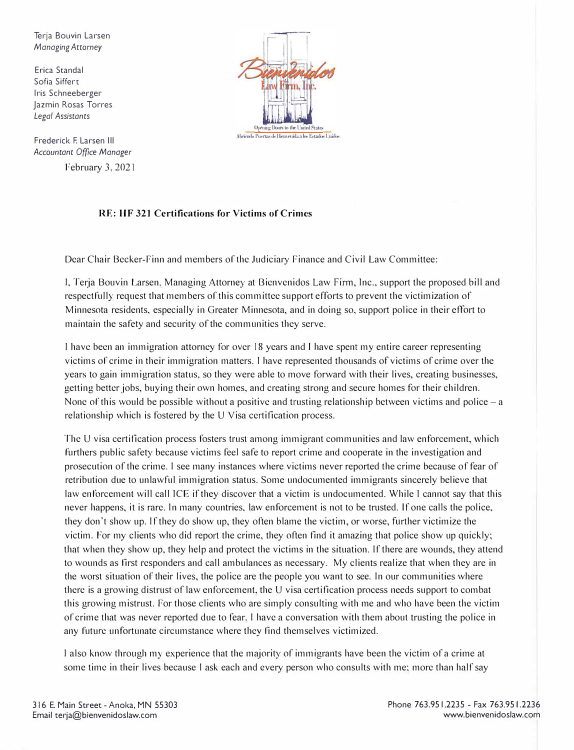Terja Bouvin Larsen *Managing Attorney* 

Erica Scandal Sofia Siffert Iris Schneeberger Jazmin Rosas Torres *Legal Assistants* 

Frederick F. Larsen Ill *Accountant Office Manager*  February 3, 2021



## **RE: HF 321 Certifications for Victims of Crimes**

Dear Chair Becker-Finn and members of the Judiciary Finance and Civil Law Committee:

I, Terja Bouvin Larsen. Managing Attorney at Bienvenidos Law Finn, Inc., support the proposed bill and respectfully request that members of this committee support efforts to prevent the victimization of Minnesota residents, especially in Greater Minnesota, and in doing so, support police in their effort to maintain the safety and security of the communities they serve.

I have been an immigration attorney for over 18 years and I have spent my entire career representing victims of crime in their immigration matters. I have represented thousands of victims of crime over the years to gain immigration status, so they were able to move forward with their lives, creating businesses, getting better jobs, buying their own homes, and creating strong and secure homes for their children. None of this would be possible without a positive and trusting relationship between victims and police – a relationship which is fostered by the U Visa certification process.

The U visa certification process fosters trust among immigrant communities and law enforcement, which furthers public safety because victims feel safe to report crime and cooperate in the investigation and prosecution of the crime. I see many instances where victims never reported the crime because of fear of retribution due to unlawful immigration status. Some undocumented immigrants sincerely believe that law enforcement will call ICE if they discover that a victim is undocumented. While I cannot say that this never happens, it is rare. In many countries, law enforcement is not to be trusted. If one calls the police, they don't show up. If they do show up, they often blame the victim, or worse, further victimize the victim. For my clients who did report the crime, they often find it amazing that police show up quickly; that when they show up, they help and protect the victims in the situation. If there are wounds, they attend to wounds as first responders and call ambulances as necessary. My clients realize that when they are in the worst situation of their lives, the police are the people you want to see. In our communities where there is a growing distrust of law enforcement, the U visa certification process needs support to combat this growing mistrust. For those clients who are simply consulting with me and who have been the victim or crime that was never reported due to fear. I have a conversation with them about trusting the police in any future unfortunate circumstance where they find themselves victimized.

I also know through my experience that the majority of immigrants have been the victim of a crime at some time in their lives because I ask each and every person who consults with me; more than half say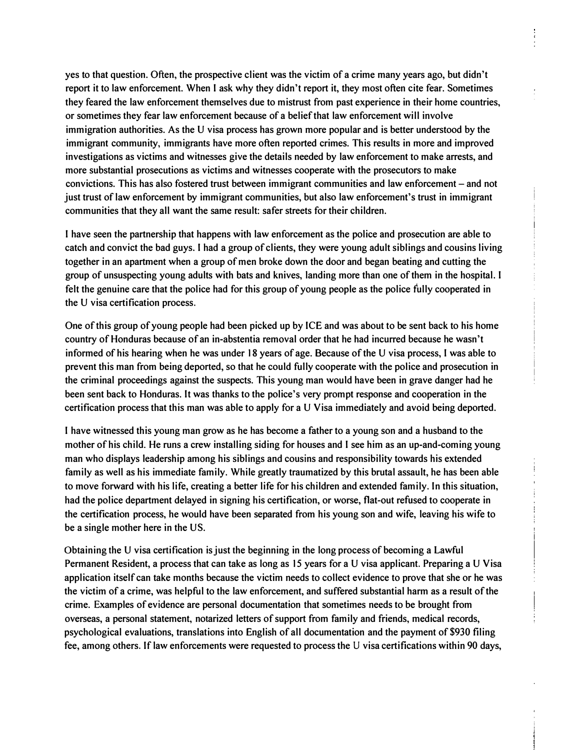**yes to that question. Often, the prospective client was the victim of a crime many years ago, but didn't report it to law enforcement. When I ask why they didn't report it, they most often cite fear. Sometimes they feared the law enforcement themselves due to mistrust from past experience in their home countries, or sometimes they fear law enforcement because of a belief that law enforcement will involve immigration authorities. As the U visa process has grown more popular and is better understood by the immigrant community, immigrants have more often reported crimes. This results in more and improved investigations as victims and witnesses give the details needed by law enforcement to make arrests, and more substantial prosecutions as victims and witnesses cooperate with the prosecutors to make convictions. This has also fostered trust between immigrant communities and law enforcement- and not just trust of law enforcement by immigrant communities, but also law enforcement's trust in immigrant communities that they all want the same result: safer streets for their children.** 

**I have seen the partnership that happens with law enforcement as the police and prosecution are able to catch and convict the bad guys. I had a group of clients, they were young adult siblings and cousins living together in an apartment when a group of men broke down the door and began beating and cutting the group of unsuspecting young adults with bats and knives, landing more than one of them in the hospital. I felt the genuine care that the police had for this group of young people as the police fully cooperated in the U visa certification process.** 

**One of this group of young people had been picked up by ICE and was about to be sent back to his home country of Honduras because of an in-abstentia removal order that he had incurred because he wasn't informed of his hearing when he was under 18 years of age. Because of the U visa process, I was able to prevent this man from being deported, so that he could fully cooperate with the police and prosecution in the criminal proceedings against the suspects. This young man would have been in grave danger had he been sent back to Honduras. It was thanks to the police's very prompt response and cooperation in the certification process that this man was able to apply for a U Visa immediately and avoid being deported.** 

**I have witnessed this young man grow as he has become a father to a young son and a husband to the mother of his child. He runs a crew installing siding for houses and I see him as an up-and-coming young man who displays leadership among his siblings and cousins and responsibility towards his extended family as well as his immediate family. While greatly traumatized by this brutal assault, he has been able to move forward with his life, creating a better life for his children and extended family. In this situation, had the police department delayed in signing his certification, or worse, flat-out refused to cooperate in the certification process, he would have been separated from his young son and wife, leaving his wife to be a single mother here in the US.** 

**Obtaining the U visa certification is just the beginning in the long process of becoming a Lawful Permanent Resident, a process that can take as long as 15 years for a U visa applicant. Preparing a U Visa application itself can take months because the victim needs to collect evidence to prove that she or he was the victim of a crime, was helpful to the law enforcement, and suffered substantial harm as a result of the crime. Examples of evidence are personal documentation that sometimes needs to be brought from overseas, a personal statement, notarized letters of support from family and friends, medical records, psychological evaluations, translations into English of all documentation and the payment of \$930 filing fee, among others. If law enforcements were requested to process the U visa certifications within 90 days,**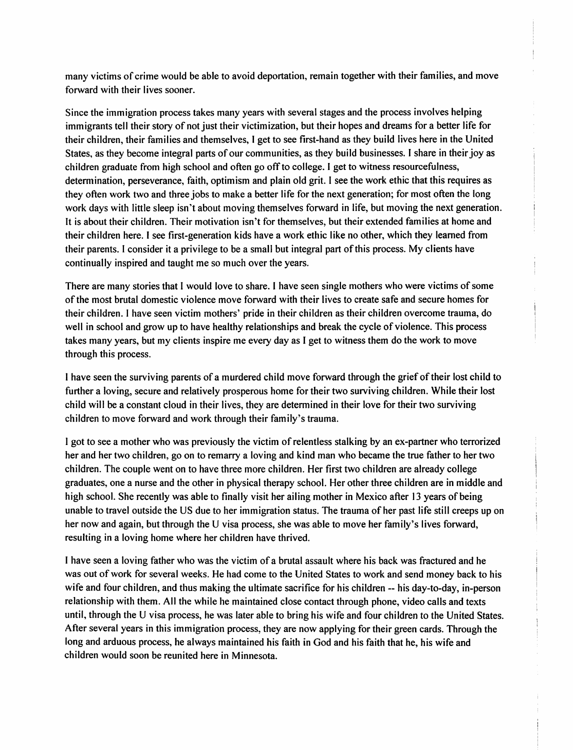many victims of crime would be able to avoid deportation, remain together with their families, and move forward with their lives sooner.

Since the immigration process takes many years with several stages and the process involves helping immigrants tell their story of not just their victimization, but their hopes and dreams for a better life for their children, their families and themselves, I get to see first-hand as they build lives here in the United States, as they become integral parts of our communities, as they build businesses. I share in their joy as children graduate from high school and often go off to college. I get to witness resourcefulness, determination, perseverance, faith, optimism and plain old grit. I see the work ethic that this requires as they often work two and three jobs to make a better life for the next generation; for most often the long work days with little sleep isn't about moving themselves forward in life, but moving the next generation. It is about their children. Their motivation isn't for themselves, but their extended families at home and their children here. I see first-generation kids have a work ethic like no other, which they learned from their parents. I consider it a privilege to be a small but integral part of this process. My clients have continually inspired and taught me so much over the years.

There are many stories that I would love to share. I have seen single mothers who were victims of some of the most brutal domestic violence move forward with their lives to create safe and secure homes for their children. I have seen victim mothers' pride in their children as their children overcome trauma, do well in school and grow up to have healthy relationships and break the cycle of violence. This process takes many years, but my clients inspire me every day as I get to witness them do the work to move through this process.

I have seen the surviving parents of a murdered child move forward through the grief of their lost child to further a loving, secure and relatively prosperous home for their two surviving children. While their lost child will be a constant cloud in their lives, they are determined in their love for their two surviving children to move forward and work through their family's trauma.

I got to see a mother who was previously the victim of relentless stalking by an ex-partner who terrorized her and her two children, go on to remarry a loving and kind man who became the true father to her two children. The couple went on to have three more children. Her first two children are already college graduates, one a nurse and the other in physical therapy school. Her other three children are in middle and high school. She recently was able to finally visit her ailing mother in Mexico after 13 years of being unable to travel outside the US due to her immigration status. The trauma of her past life still creeps up on her now and again, but through the U visa process, she was able to move her family's lives forward, resulting in a loving home where her children have thrived.

I have seen a loving father who was the victim of a brutal assault where his back was fractured and he was out of work for several weeks. He had come to the United States to work and send money back to his wife and four children, and thus making the ultimate sacrifice for his children -- his day-to-day, in-person relationship with them. All the while he maintained close contact through phone, video calls and texts until, through the U visa process, he was later able to bring his wife and four children to the United States. After several years in this immigration process, they are now applying for their green cards. Through the long and arduous process, he always maintained his faith in God and his faith that he, his wife and children would soon be reunited here in Minnesota.